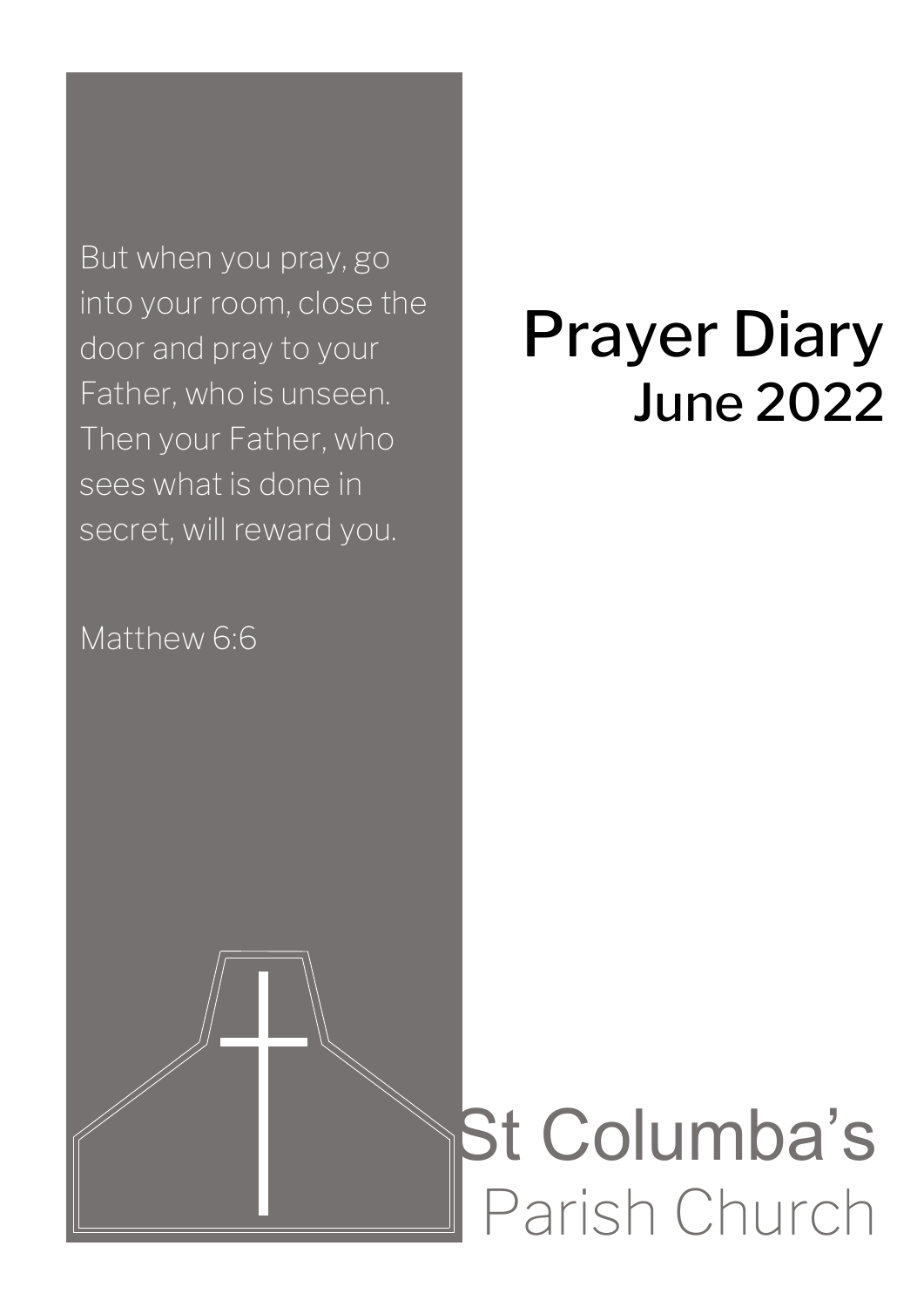But when you pray, go into your room, close the door and pray to your Father, who is unseen. Then your Father, who sees what is done in secret, will reward you.

# Prayer Diary June 2022

Matthew 6:6

# St Columba's Parish Church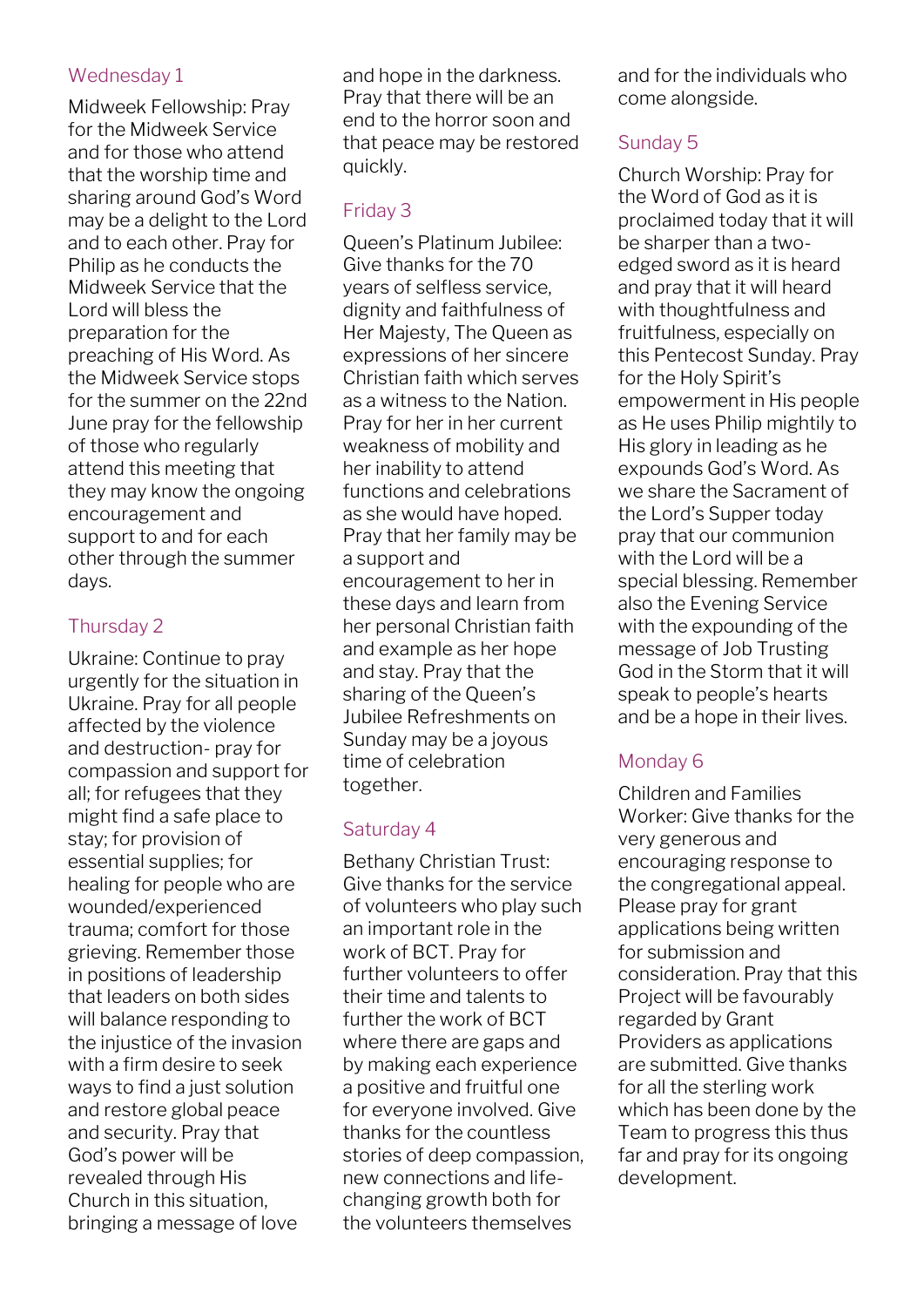#### Wednesday 1

Midweek Fellowship: Pray for the Midweek Service and for those who attend that the worship time and sharing around God's Word may be a delight to the Lord and to each other. Pray for Philip as he conducts the Midweek Service that the Lord will bless the preparation for the preaching of His Word. As the Midweek Service stops for the summer on the 22nd June pray for the fellowship of those who regularly attend this meeting that they may know the ongoing encouragement and support to and for each other through the summer days.

# Thursday 2

Ukraine: Continue to pray urgently for the situation in Ukraine. Pray for all people affected by the violence and destruction- pray for compassion and support for all; for refugees that they might find a safe place to stay; for provision of essential supplies; for healing for people who are wounded/experienced trauma; comfort for those grieving. Remember those in positions of leadership that leaders on both sides will balance responding to the injustice of the invasion with a firm desire to seek ways to find a just solution and restore global peace and security. Pray that God's power will be revealed through His Church in this situation, bringing a message of love

and hope in the darkness. Pray that there will be an end to the horror soon and that peace may be restored quickly.

# Friday 3

Queen's Platinum Jubilee: Give thanks for the 70 years of selfless service, dignity and faithfulness of Her Majesty, The Queen as expressions of her sincere Christian faith which serves as a witness to the Nation. Pray for her in her current weakness of mobility and her inability to attend functions and celebrations as she would have hoped. Pray that her family may be a support and encouragement to her in these days and learn from her personal Christian faith and example as her hope and stay. Pray that the sharing of the Queen's Jubilee Refreshments on Sunday may be a joyous time of celebration together.

# Saturday 4

Bethany Christian Trust: Give thanks for the service of volunteers who play such an important role in the work of BCT. Pray for further volunteers to offer their time and talents to further the work of BCT where there are gaps and by making each experience a positive and fruitful one for everyone involved. Give thanks for the countless stories of deep compassion, new connections and lifechanging growth both for the volunteers themselves

and for the individuals who come alongside.

# Sunday 5

Church Worship: Pray for the Word of God as it is proclaimed today that it will be sharper than a twoedged sword as it is heard and pray that it will heard with thoughtfulness and fruitfulness, especially on this Pentecost Sunday. Pray for the Holy Spirit's empowerment in His people as He uses Philip mightily to His glory in leading as he expounds God's Word. As we share the Sacrament of the Lord's Supper today pray that our communion with the Lord will be a special blessing. Remember also the Evening Service with the expounding of the message of Job Trusting God in the Storm that it will speak to people's hearts and be a hope in their lives.

# Monday 6

Children and Families Worker: Give thanks for the very generous and encouraging response to the congregational appeal. Please pray for grant applications being written for submission and consideration. Pray that this Project will be favourably regarded by Grant Providers as applications are submitted. Give thanks for all the sterling work which has been done by the Team to progress this thus far and pray for its ongoing development.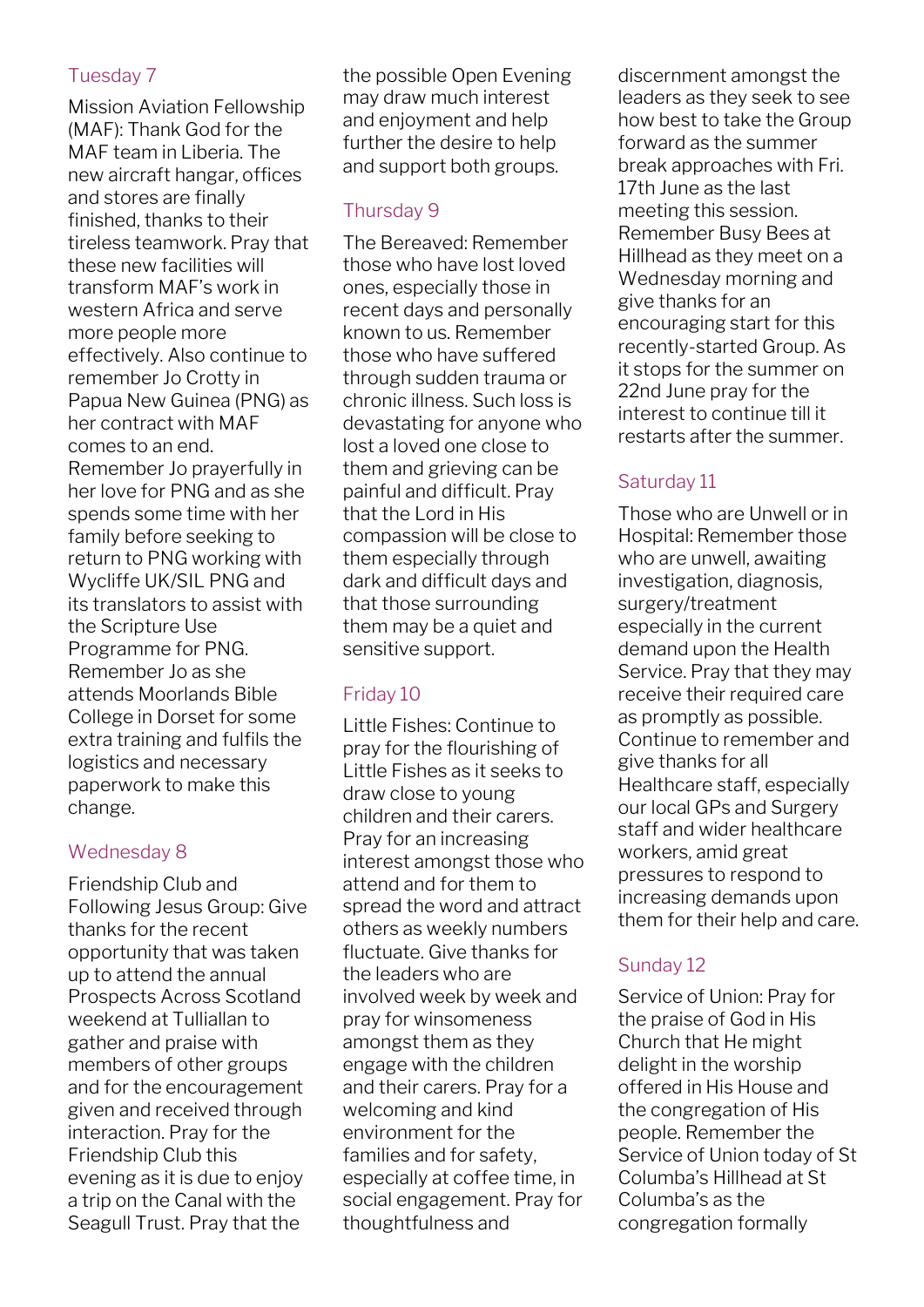# Tuesday 7

Mission Aviation Fellowship (MAF): Thank God for the MAF team in Liberia. The new aircraft hangar, offices and stores are finally finished, thanks to their tireless teamwork. Pray that these new facilities will transform MAF's work in western Africa and serve more people more effectively. Also continue to remember Jo Crotty in Papua New Guinea (PNG) as her contract with MAF comes to an end. Remember Jo prayerfully in her love for PNG and as she spends some time with her family before seeking to return to PNG working with Wycliffe UK/SIL PNG and its translators to assist with the Scripture Use Programme for PNG. Remember Jo as she attends Moorlands Bible College in Dorset for some extra training and fulfils the logistics and necessary paperwork to make this change.

# Wednesday 8

Friendship Club and Following Jesus Group: Give thanks for the recent opportunity that was taken up to attend the annual Prospects Across Scotland weekend at Tulliallan to gather and praise with members of other groups and for the encouragement given and received through interaction. Pray for the Friendship Club this evening as it is due to enjoy a trip on the Canal with the Seagull Trust. Pray that the

the possible Open Evening may draw much interest and enjoyment and help further the desire to help and support both groups.

# Thursday 9

The Bereaved: Remember those who have lost loved ones, especially those in recent days and personally known to us. Remember those who have suffered through sudden trauma or chronic illness. Such loss is devastating for anyone who lost a loved one close to them and grieving can be painful and difficult. Pray that the Lord in His compassion will be close to them especially through dark and difficult days and that those surrounding them may be a quiet and sensitive support.

# Friday 10

Little Fishes: Continue to pray for the flourishing of Little Fishes as it seeks to draw close to young children and their carers. Pray for an increasing interest amongst those who attend and for them to spread the word and attract others as weekly numbers fluctuate. Give thanks for the leaders who are involved week by week and pray for winsomeness amongst them as they engage with the children and their carers. Pray for a welcoming and kind environment for the families and for safety, especially at coffee time, in social engagement. Pray for thoughtfulness and

discernment amongst the leaders as they seek to see how best to take the Group forward as the summer break approaches with Fri. 17th June as the last meeting this session. Remember Busy Bees at Hillhead as they meet on a Wednesday morning and give thanks for an encouraging start for this recently-started Group. As it stops for the summer on 22nd June pray for the interest to continue till it restarts after the summer.

# Saturday 11

Those who are Unwell or in Hospital: Remember those who are unwell, awaiting investigation, diagnosis, surgery/treatment especially in the current demand upon the Health Service. Pray that they may receive their required care as promptly as possible. Continue to remember and give thanks for all Healthcare staff, especially our local GPs and Surgery staff and wider healthcare workers, amid great pressures to respond to increasing demands upon them for their help and care.

# Sunday 12

Service of Union: Pray for the praise of God in His Church that He might delight in the worship offered in His House and the congregation of His people. Remember the Service of Union today of St Columba's Hillhead at St Columba's as the congregation formally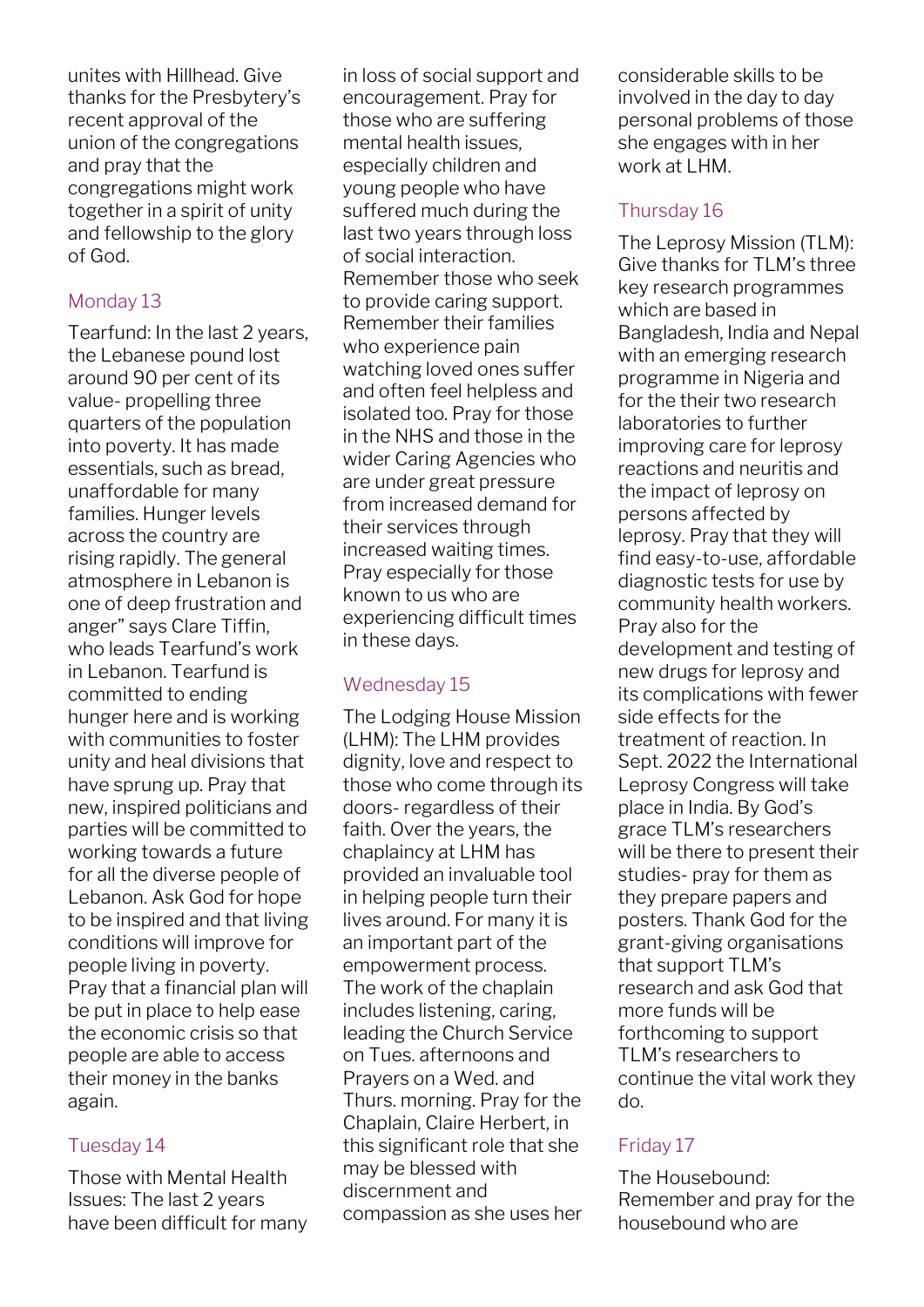unites with Hillhead. Give thanks for the Presbytery's recent approval of the union of the congregations and pray that the congregations might work together in a spirit of unity and fellowship to the glory of God.

# Monday 13

Tearfund: In the last 2 years, the Lebanese pound lost around 90 per cent of its value- propelling three quarters of the population into poverty. It has made essentials, such as bread, unaffordable for many families. Hunger levels across the country are rising rapidly. The general atmosphere in Lebanon is one of deep frustration and anger" says Clare Tiffin, who leads Tearfund's work in Lebanon. Tearfund is committed to ending hunger here and is working with communities to foster unity and heal divisions that have sprung up. Pray that new, inspired politicians and parties will be committed to working towards a future for all the diverse people of Lebanon. Ask God for hope to be inspired and that living conditions will improve for people living in poverty. Pray that a financial plan will be put in place to help ease the economic crisis so that people are able to access their money in the banks again.

# Tuesday 14

Those with Mental Health Issues: The last 2 years have been difficult for many in loss of social support and encouragement. Pray for those who are suffering mental health issues, especially children and young people who have suffered much during the last two years through loss of social interaction. Remember those who seek to provide caring support. Remember their families who experience pain watching loved ones suffer and often feel helpless and isolated too. Pray for those in the NHS and those in the wider Caring Agencies who are under great pressure from increased demand for their services through increased waiting times. Pray especially for those known to us who are experiencing difficult times in these days.

# Wednesday 15

The Lodging House Mission (LHM): The LHM provides dignity, love and respect to those who come through its doors- regardless of their faith. Over the years, the chaplaincy at LHM has provided an invaluable tool in helping people turn their lives around. For many it is an important part of the empowerment process. The work of the chaplain includes listening, caring, leading the Church Service on Tues. afternoons and Prayers on a Wed. and Thurs. morning. Pray for the Chaplain, Claire Herbert, in this significant role that she may be blessed with discernment and compassion as she uses her

considerable skills to be involved in the day to day personal problems of those she engages with in her work at LHM.

# Thursday 16

The Leprosy Mission (TLM): Give thanks for TLM's three key research programmes which are based in Bangladesh, India and Nepal with an emerging research programme in Nigeria and for the their two research laboratories to further improving care for leprosy reactions and neuritis and the impact of leprosy on persons affected by leprosy. Pray that they will find easy-to-use, affordable diagnostic tests for use by community health workers. Pray also for the development and testing of new drugs for leprosy and its complications with fewer side effects for the treatment of reaction. In Sept. 2022 the International Leprosy Congress will take place in India. By God's grace TLM's researchers will be there to present their studies- pray for them as they prepare papers and posters. Thank God for the grant-giving organisations that support TLM's research and ask God that more funds will be forthcoming to support TLM's researchers to continue the vital work they do.

# Friday 17

The Housebound: Remember and pray for the housebound who are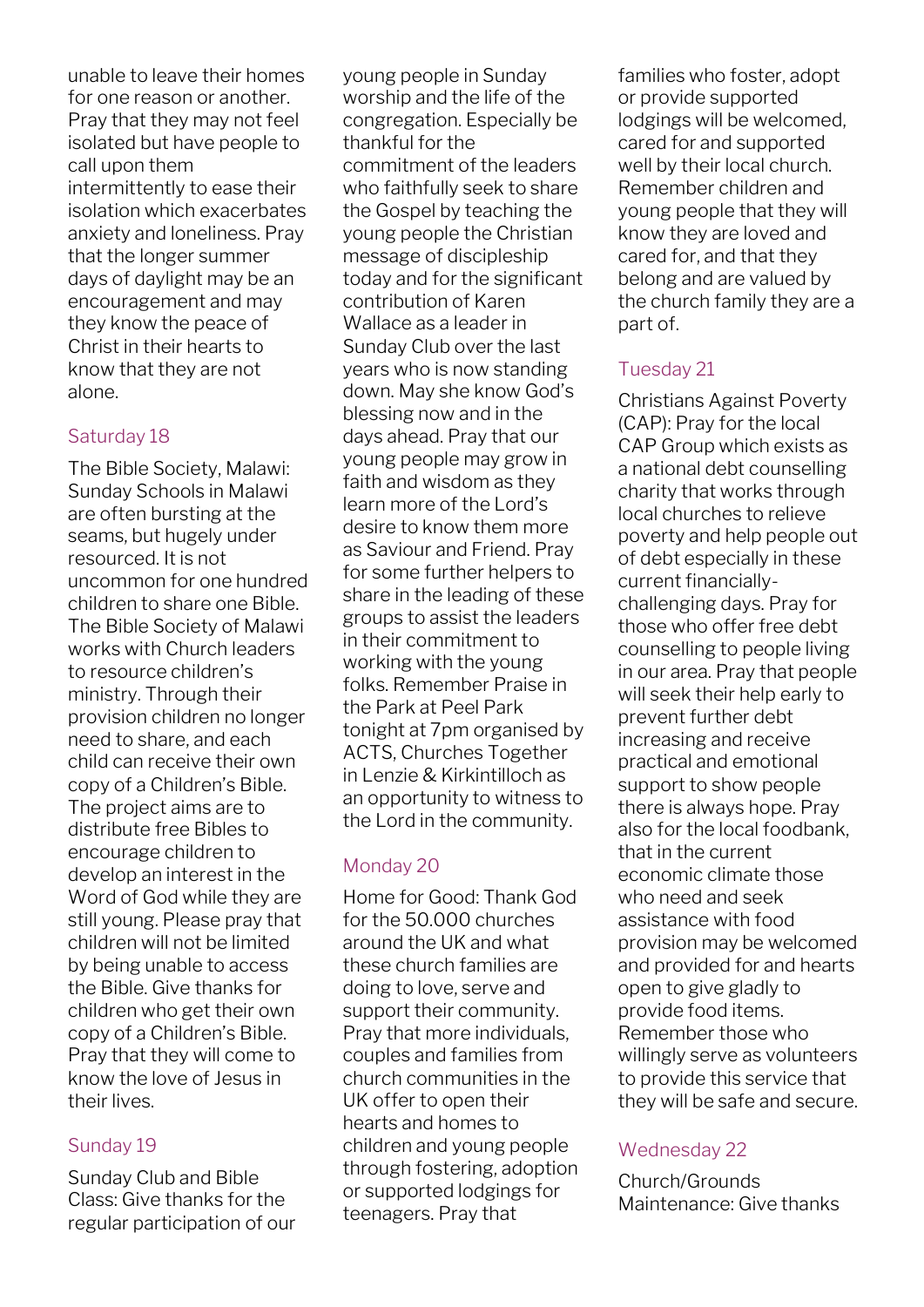unable to leave their homes for one reason or another. Pray that they may not feel isolated but have people to call upon them intermittently to ease their isolation which exacerbates anxiety and loneliness. Pray that the longer summer days of daylight may be an encouragement and may they know the peace of Christ in their hearts to know that they are not alone.

#### Saturday 18

The Bible Society, Malawi: Sunday Schools in Malawi are often bursting at the seams, but hugely under resourced. It is not uncommon for one hundred children to share one Bible. The Bible Society of Malawi works with Church leaders to resource children's ministry. Through their provision children no longer need to share, and each child can receive their own copy of a Children's Bible. The project aims are to distribute free Bibles to encourage children to develop an interest in the Word of God while they are still young. Please pray that children will not be limited by being unable to access the Bible. Give thanks for children who get their own copy of a Children's Bible. Pray that they will come to know the love of Jesus in their lives.

# Sunday 19

Sunday Club and Bible Class: Give thanks for the regular participation of our young people in Sunday worship and the life of the congregation. Especially be thankful for the commitment of the leaders who faithfully seek to share the Gospel by teaching the young people the Christian message of discipleship today and for the significant contribution of Karen Wallace as a leader in Sunday Club over the last years who is now standing down. May she know God's blessing now and in the days ahead. Pray that our young people may grow in faith and wisdom as they learn more of the Lord's desire to know them more as Saviour and Friend. Pray for some further helpers to share in the leading of these groups to assist the leaders in their commitment to working with the young folks. Remember Praise in the Park at Peel Park tonight at 7pm organised by ACTS, Churches Together in Lenzie & Kirkintilloch as an opportunity to witness to the Lord in the community.

# Monday 20

Home for Good: Thank God for the 50.000 churches around the UK and what these church families are doing to love, serve and support their community. Pray that more individuals, couples and families from church communities in the UK offer to open their hearts and homes to children and young people through fostering, adoption or supported lodgings for teenagers. Pray that

families who foster, adopt or provide supported lodgings will be welcomed, cared for and supported well by their local church. Remember children and young people that they will know they are loved and cared for, and that they belong and are valued by the church family they are a part of.

# Tuesday 21

Christians Against Poverty (CAP): Pray for the local CAP Group which exists as a national debt counselling charity that works through local churches to relieve poverty and help people out of debt especially in these current financiallychallenging days. Pray for those who offer free debt counselling to people living in our area. Pray that people will seek their help early to prevent further debt increasing and receive practical and emotional support to show people there is always hope. Pray also for the local foodbank, that in the current economic climate those who need and seek assistance with food provision may be welcomed and provided for and hearts open to give gladly to provide food items. Remember those who willingly serve as volunteers to provide this service that they will be safe and secure.

# Wednesday 22

Church/Grounds Maintenance: Give thanks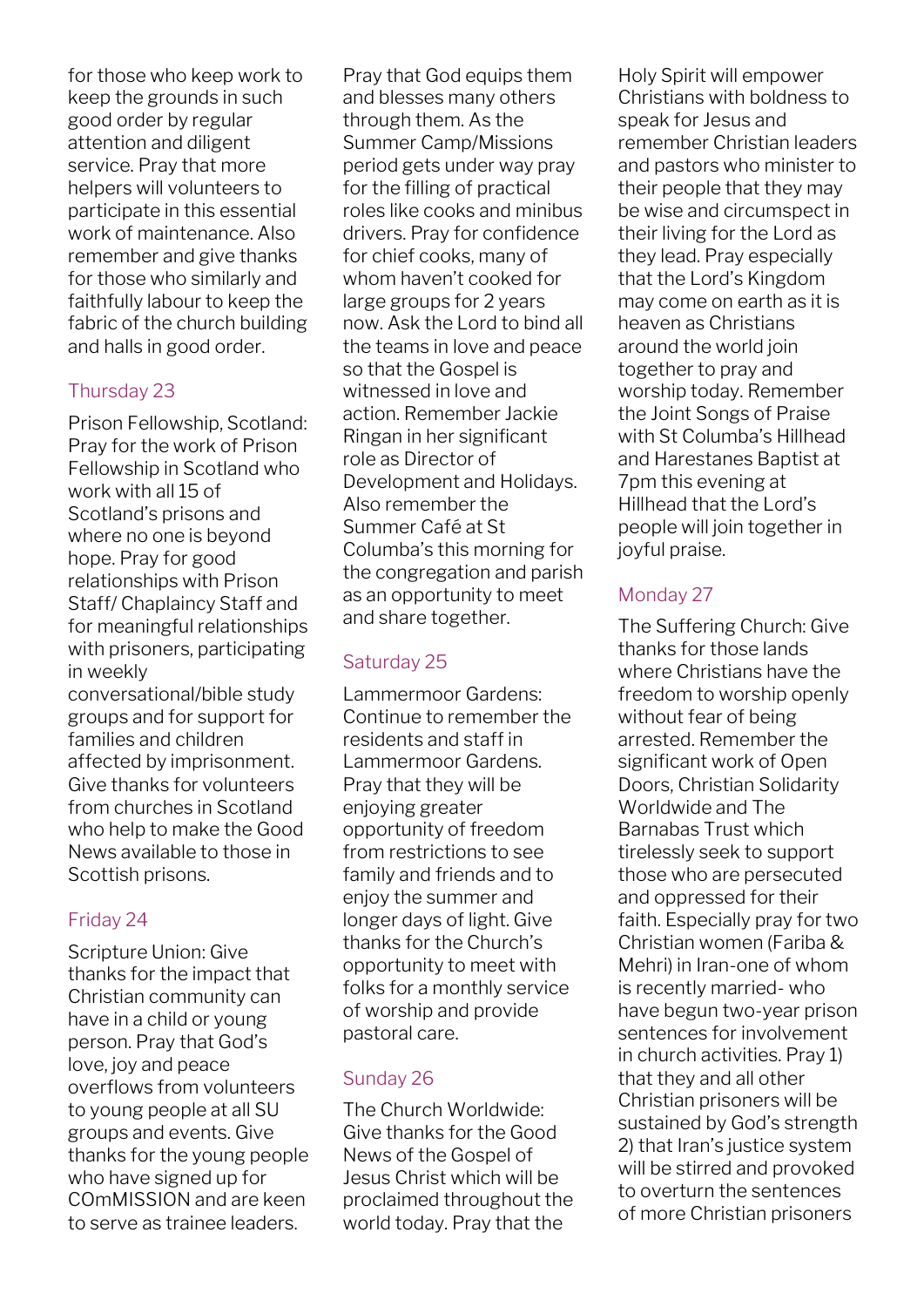for those who keep work to keep the grounds in such good order by regular attention and diligent service. Pray that more helpers will volunteers to participate in this essential work of maintenance. Also remember and give thanks for those who similarly and faithfully labour to keep the fabric of the church building and halls in good order.

# Thursday 23

Prison Fellowship, Scotland: Pray for the work of Prison Fellowship in Scotland who work with all 15 of Scotland's prisons and where no one is beyond hope. Pray for good relationships with Prison Staff/ Chaplaincy Staff and for meaningful relationships with prisoners, participating in weekly

conversational/bible study groups and for support for families and children affected by imprisonment. Give thanks for volunteers from churches in Scotland who help to make the Good News available to those in Scottish prisons.

# Friday 24

Scripture Union: Give thanks for the impact that Christian community can have in a child or young person. Pray that God's love, joy and peace overflows from volunteers to young people at all SU groups and events. Give thanks for the young people who have signed up for COmMISSION and are keen to serve as trainee leaders.

Pray that God equips them and blesses many others through them. As the Summer Camp/Missions period gets under way pray for the filling of practical roles like cooks and minibus drivers. Pray for confidence for chief cooks, many of whom haven't cooked for large groups for 2 years now. Ask the Lord to bind all the teams in love and peace so that the Gospel is witnessed in love and action. Remember Jackie Ringan in her significant role as Director of Development and Holidays. Also remember the Summer Café at St Columba's this morning for the congregation and parish as an opportunity to meet and share together.

# Saturday 25

Lammermoor Gardens: Continue to remember the residents and staff in Lammermoor Gardens. Pray that they will be enjoying greater opportunity of freedom from restrictions to see family and friends and to enjoy the summer and longer days of light. Give thanks for the Church's opportunity to meet with folks for a monthly service of worship and provide pastoral care.

# Sunday 26

The Church Worldwide: Give thanks for the Good News of the Gospel of Jesus Christ which will be proclaimed throughout the world today. Pray that the

Holy Spirit will empower Christians with boldness to speak for Jesus and remember Christian leaders and pastors who minister to their people that they may be wise and circumspect in their living for the Lord as they lead. Pray especially that the Lord's Kingdom may come on earth as it is heaven as Christians around the world join together to pray and worship today. Remember the Joint Songs of Praise with St Columba's Hillhead and Harestanes Baptist at 7pm this evening at Hillhead that the Lord's people will join together in joyful praise.

# Monday 27

The Suffering Church: Give thanks for those lands where Christians have the freedom to worship openly without fear of being arrested. Remember the significant work of Open Doors, Christian Solidarity Worldwide and The Barnabas Trust which tirelessly seek to support those who are persecuted and oppressed for their faith. Especially pray for two Christian women (Fariba & Mehri) in Iran-one of whom is recently married- who have begun two-year prison sentences for involvement in church activities. Pray 1) that they and all other Christian prisoners will be sustained by God's strength 2) that Iran's justice system will be stirred and provoked to overturn the sentences of more Christian prisoners